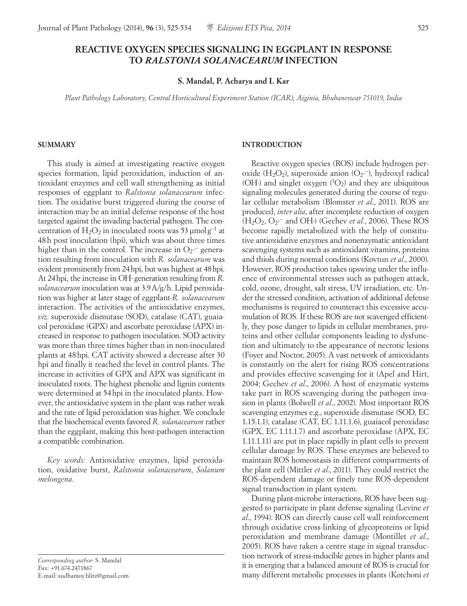# **REACTIVE OXYGEN SPECIES SIGNALING IN EGGPLANT IN RESPONSE TO** *RALSTONIA SOLANACEARUM* **INFECTION**

**S. Mandal, P. Acharya and I. Kar**

*Plant Pathology Laboratory, Central Horticultural Experiment Station (ICAR), Aiginia, Bhubaneswar 751019, India*

#### **SUMMARY**

This study is aimed at investigating reactive oxygen species formation, lipid peroxidation, induction of antioxidant enzymes and cell wall strengthening as initial responses of eggplant to *Ralstonia solanacearum* infection. The oxidative burst triggered during the course of interaction may be an initial defense response of the host targeted against the invading bacterial pathogen. The concentration of H<sub>2</sub>O<sub>2</sub> in inoculated roots was 53 µmolg<sup>-1</sup> at 48h post inoculation (hpi), which was about three times higher than in the control. The increase in  $O_2$ <sup>-</sup> generation resulting from inoculation with *R. solanacearum* was evident prominently from 24hpi, but was highest at 48hpi. At 24hpi, the increase in OH∙ generation resulting from *R. solanacearum* inoculation was at 3.9A/g/h. Lipid peroxidation was higher at later stage of eggplant-*R. solanacearum* interaction. The activities of the antioxidative enzymes, *viz*. superoxide dismutase (SOD), catalase (CAT), guaiacol peroxidase (GPX) and ascorbate peroxidase (APX) increased in response to pathogen inoculation. SOD activity was more than three times higher than in non-inoculated plants at 48hpi. CAT activity showed a decrease after 30 hpi and finally it reached the level in control plants. The increase in activities of GPX and APX was significant in inoculated roots. The highest phenolic and lignin contents were determined at 54hpi in the inoculated plants. However, the antioxidative system in the plant was rather weak and the rate of lipid peroxidation was higher. We conclude that the biochemical events favored *R. solanacearum* rather than the eggplant, making this host-pathogen interaction a compatible combination.

*Key words:* Antioxidative enzymes, lipid peroxidation, oxidative burst, *Ralstonia solanacearum*, *Solanum melongena*.

*Corresponding author*: S. Mandal Fax: +91.674.2471867 E-mail: sudhamoy.blitz@gmail.com

### **INTRODUCTION**

Reactive oxygen species (ROS) include hydrogen peroxide (H<sub>2</sub>O<sub>2</sub>), superoxide anion (O<sub>2</sub>·<sup>-</sup>), hydroxyl radical (OH∙) and singlet oxygen (1 O2) and they are ubiquitous signaling molecules generated during the course of regular cellular metabolism (Blomster *et al*., 2011). ROS are produced, *inter alia*, after incomplete reduction of oxygen (H2O2, O2∙ − and OH∙) (Gechev *et al.*, 2006). These ROS become rapidly metabolized with the help of constitutive antioxidative enzymes and nonenzymatic antioxidant scavenging systems such as antioxidant vitamins, proteins and thiols during normal conditions (Kovtun *et al*., 2000). However, ROS production takes upswing under the influence of environmental stresses such as pathogen attack, cold, ozone, drought, salt stress, UV irradiation, etc. Under the stressed condition, activation of additional defense mechanisms is required to counteract this excessive accumulation of ROS. If these ROS are not scavenged efficiently, they pose danger to lipids in cellular membranes, proteins and other cellular components leading to dysfunction and ultimately to the appearance of necrotic lesions (Foyer and Noctor, 2005). A vast network of antioxidants is constantly on the alert for rising ROS concentrations and provides effective scavenging for it (Apel and Hirt, 2004; Gechev *et al*., 2006). A host of enzymatic systems take part in ROS scavenging during the pathogen invasion in plants (Bolwell *et al*., 2002). Most important ROS scavenging enzymes e.g., superoxide dismutase (SOD, EC 1.15.1.1), catalase (CAT, EC 1.11.1.6), guaiacol peroxidase (GPX, EC 1.11.1.7) and ascorbate peroxidase (APX, EC 1.11.1.11) are put in place rapidly in plant cells to prevent cellular damage by ROS. These enzymes are believed to maintain ROS homeostasis in different compartments of the plant cell (Mittler *et al*., 2011). They could restrict the ROS-dependent damage or finely tune ROS-dependent signal transduction in plant system.

During plant-microbe interactions, ROS have been suggested to participate in plant defense signaling (Levine *et al*., 1994). ROS can directly cause cell wall reinforcement through oxidative cross-linking of glycoproteins or lipid peroxidation and membrane damage (Montillet *et al*., 2005). ROS have taken a centre stage in signal transduction network of stress-inducible genes in higher plants and it is emerging that a balanced amount of ROS is crucial for many different metabolic processes in plants (Kotchoni *et*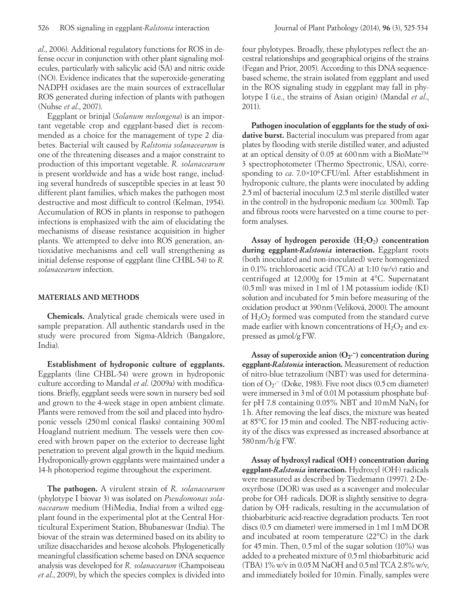*al*., 2006). Additional regulatory functions for ROS in defense occur in conjunction with other plant signaling molecules, particularly with salicylic acid (SA) and nitric oxide (NO). Evidence indicates that the superoxide-generating NADPH oxidases are the main sources of extracellular ROS generated during infection of plants with pathogen (Nuhse *et al*., 2007).

Eggplant or brinjal (*Solanum melongena*) is an important vegetable crop and eggplant-based diet is recommended as a choice for the management of type 2 diabetes. Bacterial wilt caused by *Ralstonia solanacearum* is one of the threatening diseases and a major constraint to production of this important vegetable. *R. solanacearum* is present worldwide and has a wide host range, including several hundreds of susceptible species in at least 50 different plant families, which makes the pathogen most destructive and most difficult to control (Kelman, 1954). Accumulation of ROS in plants in response to pathogen infections is emphasized with the aim of elucidating the mechanisms of disease resistance acquisition in higher plants. We attempted to delve into ROS generation, antioxidative mechanisms and cell wall strengthening as initial defense response of eggplant (line CHBL-54) to *R. solanacearum* infection.

### **MATERIALS AND METHODS**

**Chemicals.** Analytical grade chemicals were used in sample preparation. All authentic standards used in the study were procured from Sigma-Aldrich (Bangalore, India).

**Establishment of hydroponic culture of eggplants.**  Eggplants (line CHBL-54) were grown in hydroponic culture according to Mandal *et al*. (2009a) with modifications. Briefly, eggplant seeds were sown in nursery bed soil and grown to the 4-week stage in open ambient climate. Plants were removed from the soil and placed into hydroponic vessels (250ml conical flasks) containing 300ml Hoagland nutrient medium. The vessels were then covered with brown paper on the exterior to decrease light penetration to prevent algal growth in the liquid medium. Hydroponically-grown eggplants were maintained under a 14-h photoperiod regime throughout the experiment.

**The pathogen.** A virulent strain of *R. solanacearum* (phylotype I biovar 3) was isolated on *Pseudomonas solanacearum* medium (HiMedia, India) from a wilted eggplant found in the experimental plot at the Central Horticultural Experiment Station, Bhubaneswar (India). The biovar of the strain was determined based on its ability to utilize disaccharides and hexose alcohols. Phylogenetically meaningful classification scheme based on DNA sequence analysis was developed for *R. solanacearum* (Champoiseau *et al*., 2009), by which the species complex is divided into four phylotypes. Broadly, these phylotypes reflect the ancestral relationships and geographical origins of the strains (Fegan and Prior, 2005). According to this DNA sequencebased scheme, the strain isolated from eggplant and used in the ROS signaling study in eggplant may fall in phylotype I (i.e., the strains of Asian origin) (Mandal *et al*., 2011).

**Pathogen inoculation of eggplants for the study of oxidative burst.** Bacterial inoculum was prepared from agar plates by flooding with sterile distilled water, and adjusted at an optical density of 0.05 at 600nm with a BioMate™ 3 spectrophotometer (Thermo Spectronic, USA), corresponding to *ca*. 7.0×106CFU/ml. After establishment in hydroponic culture, the plants were inoculated by adding 2.5ml of bacterial inoculum (2.5ml sterile distilled water in the control) in the hydroponic medium (*ca.* 300ml). Tap and fibrous roots were harvested on a time course to perform analyses.

Assay of hydrogen peroxide (H<sub>2</sub>O<sub>2</sub>) concentration **during eggplant-***Ralstonia* **interaction.** Eggplant roots (both inoculated and non-inoculated) were homogenized in 0.1% trichloroacetic acid (TCA) at 1:10 (w/v) ratio and centrifuged at 12,000*g* for 15min at 4°C. Supernatant (0.5ml) was mixed in 1ml of 1M potassium iodide (KI) solution and incubated for 5 min before measuring of the oxidation product at 390nm(Veliková, 2000).The amount of  $H_2O_2$  formed was computed from the standard curve made earlier with known concentrations of  $H_2O_2$  and expressed as µmol/g FW.

Assay of superoxide anion (O<sub>2</sub><sup>-</sup>) concentration during **eggplant-***Ralstonia* **interaction.** Measurement of reduction of nitro-blue tetrazolium (NBT) was used for determination of O2∙ − (Doke, 1983). Five root discs (0.5cm diameter) were immersed in 3 ml of 0.01 M potassium phosphate buffer pH 7.8 containing  $0.05\%$  NBT and  $10 \text{ mM}$  NaN<sub>3</sub> for 1h. After removing the leaf discs, the mixture was heated at 85°C for 15min and cooled. The NBT-reducing activity of the discs was expressed as increased absorbance at 580nm/h/g FW.

**Assay of hydroxyl radical (OH**∙**) concentration during eggplant-***Ralstonia* **interaction.** Hydroxyl (OH·) radicals were measured as described by Tiedemann (1997). 2-Deoxyribose (DOR) was used as a scavenger and molecular probe for OH· radicals. DOR is slightly sensitive to degradation by OH· radicals, resulting in the accumulation of thiobarbituric acid-reactive degradation products. Ten root discs (0.5 cm diameter) were immersed in 1ml 1mM DOR and incubated at room temperature (22°C) in the dark for 45 min. Then,  $0.5$  ml of the sugar solution  $(10\%)$  was added to a preheated mixture of 0.5ml thiobarbituric acid (TBA)  $1\%$  w/v in 0.05 M NaOH and 0.5 ml TCA 2.8% w/v, and immediately boiled for 10min. Finally, samples were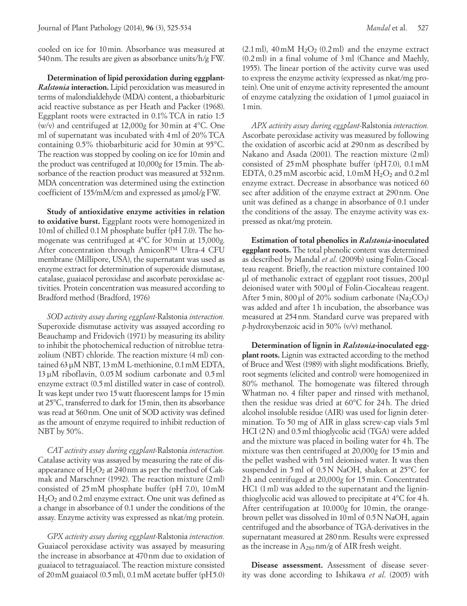cooled on ice for 10min. Absorbance was measured at 540nm. The results are given as absorbance units/h/g FW.

**Determination of lipid peroxidation during eggplant-***Ralstonia* **interaction.** Lipid peroxidation was measured in terms of malondialdehyde (MDA) content, a thiobarbituric acid reactive substance as per Heath and Packer (1968). Eggplant roots were extracted in 0.1%TCA in ratio 1:5 (w/v) and centrifuged at 12,000*g* for 30min at 4°C. One ml of supernatant was incubated with 4ml of 20%TCA containing 0.5% thiobarbituric acid for 30min at 95°C. The reaction was stopped by cooling on ice for 10min and the product was centrifuged at 10,000*g* for 15min. The absorbance of the reaction product was measured at 532nm. MDA concentration was determined using the extinction coefficient of 155/mM/cm and expressed as µmol/g FW.

**Study of antioxidative enzyme activities in relation to oxidative burst.** Eggplant roots were homogenized in 10ml of chilled 0.1M phosphate buffer (pH 7.0). The homogenate was centrifuged at 4°C for 30min at 15,000*g*. After concentration through AmiconR™ Ultra-4 CFU membrane (Millipore, USA), the supernatant was used as enzyme extract for determination of superoxide dismutase, catalase, guaiacol peroxidase and ascorbate peroxidase activities. Protein concentration was measured according to Bradford method (Bradford, 1976)

*SOD activity assay during eggplant-*Ralstonia *interaction.*  Superoxide dismutase activity was assayed according ro Beauchamp and Fridovich (1971) by measuring its ability to inhibit the photochemical reduction of nitroblue tetrazolium (NBT) chloride. The reaction mixture (4 ml) contained 63µM NBT, 13mM L-methionine, 0.1mM EDTA, 13µM riboflavin, 0.05M sodium carbonate and 0.5ml enzyme extract (0.5ml distilled water in case of control). It was kept under two 15watt fluorescent lamps for 15min at 25°C, transferred to dark for 15min, then its absorbance was read at 560nm. One unit of SOD activity was defined as the amount of enzyme required to inhibit reduction of NBT by 50%.

*CAT activity assay during eggplant-*Ralstonia *interaction.*  Catalase activity was assayed by measuring the rate of disappearance of  $H_2O_2$  at 240 nm as per the method of Cakmak and Marschner (1992). The reaction mixture (2ml) consisted of 25mM phosphate buffer (pH 7.0), 10mM  $H<sub>2</sub>O<sub>2</sub>$  and 0.2 ml enzyme extract. One unit was defined as a change in absorbance of 0.1 under the conditions of the assay. Enzyme activity was expressed as nkat/mg protein.

*GPX activity assay during eggplant-*Ralstonia *interaction.* Guaiacol peroxidase activity was assayed by measuring the increase in absorbance at 470nm due to oxidation of guaiacol to tetraguaiacol. The reaction mixture consisted of 20mM guaiacol (0.5ml), 0.1mM acetate buffer (pH5.0)  $(2.1 \text{ ml})$ ,  $40 \text{ mM } H_2O_2$   $(0.2 \text{ ml})$  and the enzyme extract (0.2ml) in a final volume of 3ml (Chance and Maehly, 1955). The linear portion of the activity curve was used to express the enzyme activity (expressed as nkat/mg protein). One unit of enzyme activity represented the amount of enzyme catalyzing the oxidation of 1μmol guaiacol in 1min.

*APX activity assay during eggplant-*Ralstonia *interaction.*  Ascorbate peroxidase activity was measured by following the oxidation of ascorbic acid at 290nm as described by Nakano and Asada (2001). The reaction mixture (2ml) consisted of 25mM phosphate buffer (pH7.0), 0.1mM EDTA, 0.25 mM ascorbic acid,  $1.0$  mM  $H_2O_2$  and 0.2 ml enzyme extract. Decrease in absorbance was noticed 60 sec after addition of the enzyme extract at 290nm. One unit was defined as a change in absorbance of 0.1 under the conditions of the assay. The enzyme activity was expressed as nkat/mg protein.

**Estimation of total phenolics in** *Ralstonia***-inoculated eggplant roots.** The total phenolic content was determined as described by Mandal *et al*. (2009b) using Folin-Ciocalteau reagent. Briefly, the reaction mixture contained 100 µl of methanolic extract of eggplant root tissues, 200µl deionised water with 500µl of Folin-Ciocalteau reagent. After 5 min,  $800 \mu l$  of 20% sodium carbonate (Na<sub>2</sub>CO<sub>3</sub>) was added and after 1h incubation, the absorbance was measured at 254nm. Standard curve was prepared with *p*-hydroxybenzoic acid in 50% (v/v) methanol.

**Determination of lignin in** *Ralstonia***-inoculated eggplant roots.** Lignin was extracted according to the method of Bruce and West (1989) with slight modifications. Briefly, root segments (elicited and control) were homogenized in 80% methanol. The homogenate was filtered through Whatman no. 4 filter paper and rinsed with methanol, then the residue was dried at 60°C for 24h. The dried alcohol insoluble residue (AIR) was used for lignin determination. To 50 mg of AIR in glass screw-cap vials 5ml HCI (2N) and 0.5ml thioglycolic acid (TGA) were added and the mixture was placed in boiling water for 4 h. The mixture was then centrifuged at 20,000*g* for 15min and the pellet washed with 5ml deionised water. It was then suspended in 5ml of 0.5N NaOH, shaken at 25°C for 2h and centrifuged at 20,000*g* for 15min. Concentrated HC1 (1ml) was added to the supernatant and the ligninthioglycolic acid was allowed to precipitate at 4°C for 4h. After centrifugation at 10.000*g* for 10min, the orangebrown pellet was dissolved in 10ml of 0.5N NaOH, again centrifuged and the absorbance of TGA-derivatives in the supernatant measured at 280nm. Results were expressed as the increase in A280 nm/g of AIR fresh weight.

**Disease assessment.** Assessment of disease severity was done according to Ishikawa *et al*. (2005) with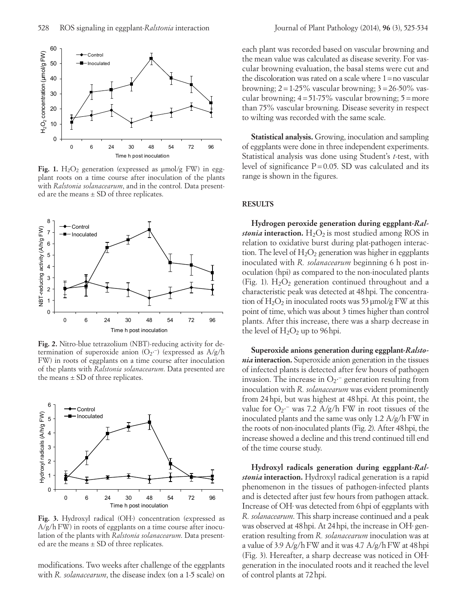

Fig. 1.  $H_2O_2$  generation (expressed as  $\mu$ mol/g FW) in eggplant roots on a time course after inoculation of the plants with *Ralstonia solanacearum*, and in the control. Data presented are the means  $\pm$  SD of three replicates.



**Fig. 2.** Nitro-blue tetrazolium (NBT)-reducing activity for determination of superoxide anion (O<sub>2</sub>·<sup>-</sup>) (expressed as A/g/h FW) in roots of eggplants on a time course after inoculation of the plants with *Ralstonia solanacearum*. Data presented are the means  $\pm$  SD of three replicates.



**Fig. 3.** Hydroxyl radical (OH∙) concentration (expressed as A/g/h FW) in roots of eggplants on a time course after inoculation of the plants with *Ralstonia solanacearum*. Data presented are the means  $\pm$  SD of three replicates.

modifications. Two weeks after challenge of the eggplants with *R. solanacearum*, the disease index (on a 1-5 scale) on each plant was recorded based on vascular browning and the mean value was calculated as disease severity. For vascular browning evaluation, the basal stems were cut and the discoloration was rated on a scale where  $1=$ no vascular browning;  $2 = 1-25\%$  vascular browning;  $3 = 26-50\%$  vascular browning;  $4=51-75\%$  vascular browning;  $5=$ more than 75% vascular browning. Disease severity in respect to wilting was recorded with the same scale.

**Statistical analysis.** Growing, inoculation and sampling of eggplants were done in three independent experiments. Statistical analysis was done using Student's *t*-test, with level of significance  $P = 0.05$ . SD was calculated and its range is shown in the figures.

# **RESULTS**

**Hydrogen peroxide generation during eggplant***-Ralstonia* interaction.  $H_2O_2$  is most studied among ROS in relation to oxidative burst during plat-pathogen interaction. The level of  $H_2O_2$  generation was higher in eggplants inoculated with *R. solanacearum* beginning 6 h post inoculation (hpi) as compared to the non-inoculated plants (Fig. 1).  $H_2O_2$  generation continued throughout and a characteristic peak was detected at 48hpi. The concentration of  $H_2O_2$  in inoculated roots was 53 µmol/g FW at this point of time, which was about 3 times higher than control plants. After this increase, there was a sharp decrease in the level of  $H_2O_2$  up to 96 hpi.

**Superoxide anions generation during eggplant***-Ralstonia* **interaction.** Superoxide anion generation in the tissues of infected plants is detected after few hours of pathogen invasion. The increase in  $O_2$ <sup>-</sup> generation resulting from inoculation with *R. solanacearum* was evident prominently from 24hpi, but was highest at 48hpi. At this point, the value for O<sub>2</sub><sup>-</sup> was 7.2 A/g/h FW in root tissues of the inoculated plants and the same was only 1.2 A/g/h FW in the roots of non-inoculated plants (Fig. 2). After 48hpi, the increase showed a decline and this trend continued till end of the time course study.

**Hydroxyl radicals generation during eggplant***-Ralstonia* **interaction.** Hydroxyl radical generation is a rapid phenomenon in the tissues of pathogen-infected plants and is detected after just few hours from pathogen attack. Increase of OH∙ was detected from 6hpi of eggplants with *R. solanacearum*. This sharp increase continued and a peak was observed at 48hpi. At 24hpi, the increase in OH∙ generation resulting from *R. solanacearum* inoculation was at a value of 3.9 A/g/h FW and it was 4.7 A/g/h FW at 48 hpi (Fig. 3). Hereafter, a sharp decrease was noticed in OH∙ generation in the inoculated roots and it reached the level of control plants at 72hpi.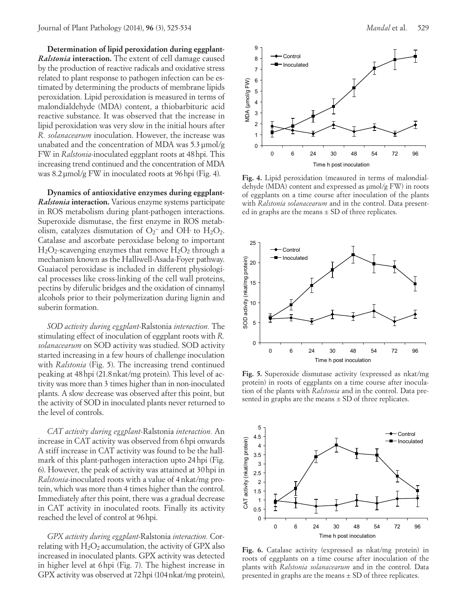**Determination of lipid peroxidation during eggplant***-Ralstonia* **interaction.** The extent of cell damage caused by the production of reactive radicals and oxidative stress related to plant response to pathogen infection can be estimated by determining the products of membrane lipids peroxidation. Lipid peroxidation is measured in terms of malondialdehyde (MDA) content, a thiobarbituric acid reactive substance. It was observed that the increase in lipid peroxidation was very slow in the initial hours after *R. solanacearum* inoculation. However, the increase was unabated and the concentration of MDA was 5.3µmol/g FW in *Ralstonia-*inoculated eggplant roots at 48hpi. This increasing trend continued and the concentration of MDA was 8.2µmol/g FW in inoculated roots at 96hpi (Fig. 4).

**Dynamics of antioxidative enzymes during eggplant***-Ralstonia* **interaction.** Various enzyme systems participate in ROS metabolism during plant-pathogen interactions. Superoxide dismutase, the first enzyme in ROS metabolism, catalyzes dismutation of  $O_2^-$  and OH⋅ to  $H_2O_2$ . Catalase and ascorbate peroxidase belong to important  $H_2O_2$ -scavenging enzymes that remove  $H_2O_2$  through a mechanism known as the Halliwell-Asada-Foyer pathway. Guaiacol peroxidase is included in different physiological processes like cross-linking of the cell wall proteins, pectins by diferulic bridges and the oxidation of cinnamyl alcohols prior to their polymerization during lignin and suberin formation.

*SOD activity during eggplant-*Ralstonia *interaction.* The stimulating effect of inoculation of eggplant roots with *R. solanacearum* on SOD activity was studied. SOD activity started increasing in a few hours of challenge inoculation with *Ralstonia* (Fig. 5). The increasing trend continued peaking at 48hpi (21.8nkat/mg protein). This level of activity was more than 3 times higher than in non-inoculated plants. A slow decrease was observed after this point, but the activity of SOD in inoculated plants never returned to the level of controls.

*CAT activity during eggplant-*Ralstonia *interaction.* An increase in CAT activity was observed from 6hpi onwards A stiff increase in CAT activity was found to be the hallmark of this plant-pathogen interaction upto 24hpi (Fig. 6). However, the peak of activity was attained at 30hpi in *Ralstonia-*inoculated roots with a value of 4nkat/mg protein, which was more than 4 times higher than the control. Immediately after this point, there was a gradual decrease in CAT activity in inoculated roots. Finally its activity reached the level of control at 96hpi.

*GPX activity during eggplant-*Ralstonia *interaction.* Correlating with  $H_2O_2$  accumulation, the activity of GPX also increased in inoculated plants. GPX activity was detected in higher level at 6hpi (Fig. 7). The highest increase in GPX activity was observed at 72hpi (104nkat/mg protein),



**Fig. 4.** Lipid peroxidation (measured in terms of malondialdehyde (MDA) content and expressed as µmol/g FW) in roots of eggplants on a time course after inoculation of the plants with *Ralstonia solanacearum* and in the control. Data presented in graphs are the means  $\pm$  SD of three replicates.



**Fig. 5.** Superoxide dismutase activity (expressed as nkat/mg protein) in roots of eggplants on a time course after inoculation of the plants with *Ralstonia* and in the control. Data presented in graphs are the means  $\pm$  SD of three replicates.



**Fig. 6.** Catalase activity (expressed as nkat/mg protein) in roots of eggplants on a time course after inoculation of the plants with *Ralstonia solanacearum* and in the control. Data presented in graphs are the means  $\pm$  SD of three replicates.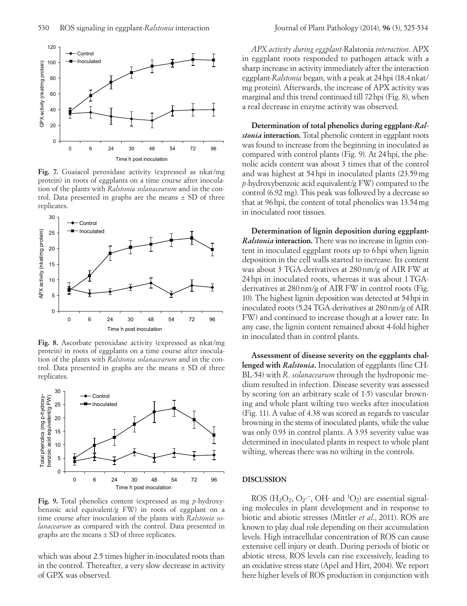

**Fig. 7.** Guaiacol peroxidase activity (expressed as nkat/mg protein) in roots of eggplants on a time course after inoculation of the plants with *Ralstonia solanacearum* and in the control. Data presented in graphs are the means  $\pm$  SD of three replicates.



**Fig. 8.** Ascorbate peroxidase activity (expressed as nkat/mg protein) in roots of eggplants on a time course after inoculation of the plants with *Ralstonia solanacearum* and in the control. Data presented in graphs are the means  $\pm$  SD of three replicates.



**Fig. 9.** Total phenolics content (expressed as mg *p*-hydroxybenzoic acid equivalent/g FW) in roots of eggplant on a time course after inoculation of the plants with *Ralstonia solanacearum* as compared with the control. Data presented in graphs are the means  $\pm$  SD of three replicates.

which was about 2.5 times higher in*-*inoculated roots than in the control. Thereafter, a very slow decrease in activity of GPX was observed.

*APX activity during eggplant-*Ralstonia *interaction.* APX in eggplant roots responded to pathogen attack with a sharp increase in activity immediately after the interaction eggplant*-Ralstonia* began, with a peak at 24hpi (18.4nkat/ mg protein). Afterwards, the increase of APX activity was marginal and this trend continued till 72hpi (Fig. 8), when a real decrease in enzyme activity was observed.

**Determination of total phenolics during eggplant***-Ralstonia* **interaction.** Total phenolic content in eggplant roots was found to increase from the beginning in inoculated as compared with control plants (Fig. 9). At 24hpi, the phenolic acids content was about 3 times that of the control and was highest at 54hpi in inoculated plants (23.59mg *p*-hydroxybenzoic acid equivalent/g FW) compared to the control (6.92 mg). This peak was followed by a decrease so that at 96hpi, the content of total phenolics was 13.54mg in inoculated root tissues.

**Determination of lignin deposition during eggplant-***Ralstonia* **interaction***.* There was no increase in lignin content in inoculated eggplant roots up to 6hpi when lignin deposition in the cell walls started to increase. Its content was about 3 TGA-derivatives at 280nm/g of AIR FW at 24hpi in inoculated roots, whereas it was about 1TGAderivatives at 280nm/g of AIR FW in control roots (Fig. 10). The highest lignin deposition was detected at 54hpi in inoculated roots (5.24 TGA-derivatives at 280nm/g of AIR FW) and continued to increase though at a lower rate. In any case, the lignin content remained about 4-fold higher in inoculated than in control plants.

**Assessment of disease severity on the eggplants challenged with** *Ralstonia***.** Inoculation of eggplants (line CH-BL-54) with *R. solanacearum* through the hydroponic medium resulted in infection. Disease severity was assessed by scoring (on an arbitrary scale of 1-5) vascular browning and whole plant wilting two weeks after inoculation (Fig. 11). A value of 4.38 was scored as regards to vascular browning in the stems of inoculated plants, while the value was only 0.93 in control plants. A 3.93 severity value was determined in inoculated plants in respect to whole plant wilting, whereas there was no wilting in the controls.

### **DISCUSSION**

ROS (H<sub>2</sub>O<sub>2</sub>, O<sub>2</sub>·<sup>-</sup>, OH⋅ and <sup>1</sup>O<sub>2</sub>) are essential signaling molecules in plant development and in response to biotic and abiotic stresses (Mittler *et al*., 2011). ROS are known to play dual role depending on their accumulation levels. High intracellular concentration of ROS can cause extensive cell injury or death. During periods of biotic or abiotic stress, ROS levels can rise excessively, leading to an oxidative stress state (Apel and Hirt, 2004). We report here higher levels of ROS production in conjunction with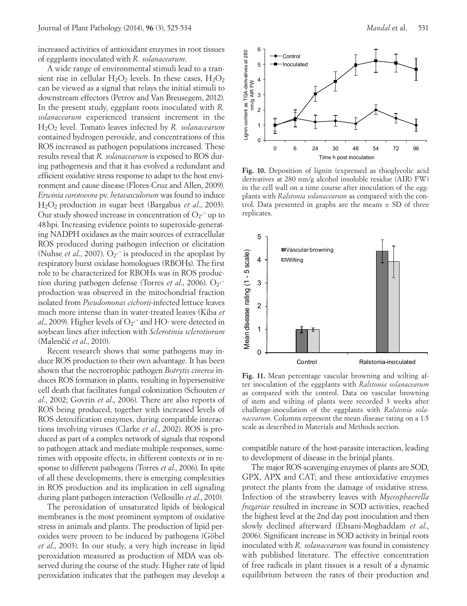increased activities of antioxidant enzymes in root tissues of eggplants inoculated with *R. solanacearum*.

A wide range of environmental stimuli lead to a transient rise in cellular  $H_2O_2$  levels. In these cases,  $H_2O_2$ can be viewed as a signal that relays the initial stimuli to downstream effectors (Petrov and Van Breusegem, 2012). In the present study, eggplant roots inoculated with *R. solanacearum* experienced transient increment in the H2O2 level. Tomato leaves infected by *R. solanacearum* contained hydrogen peroxide, and concentrations of this ROS increased as pathogen populations increased. These results reveal that *R. solanacearum* is exposed to ROS during pathogenesis and that it has evolved a redundant and efficient oxidative stress response to adapt to the host environment and cause disease (Flores-Cruz and Allen, 2009). *Erwinia carotovora* pv. *betavasculorum* was found to induce H2O2 production in sugar beet (Bargabus *et al*., 2003). Our study showed increase in concentration of  $O_2$ <sup>-</sup> up to 48hpi. Increasing evidence points to superoxide-generating NADPH oxidases as the main sources of extracellular ROS produced during pathogen infection or elicitation (Nuhse *et al.*, 2007). O<sub>2</sub><sup>-</sup> is produced in the apoplast by respiratory burst oxidase homologues (RBOHs). The first role to be characterized for RBOHs was in ROS production during pathogen defense (Torres et al., 2006). O<sub>2</sub><sup>-</sup> production was observed in the mitochondrial fraction isolated from *Pseudomonas cichorii*-infected lettuce leaves much more intense than in water-treated leaves (Kiba *et*  al., 2009). Higher levels of O<sub>2</sub><sup>--</sup> and HO· were detected in soybean lines after infection with *Sclerotinia sclerotiorum* (Malenčić *et al*., 2010).

Recent research shows that some pathogens may induce ROS production to their own advantage. It has been shown that the necrotrophic pathogen *Botrytis cinerea* induces ROS formation in plants, resulting in hypersensitive cell death that facilitates fungal colonization (Schouten *et al*., 2002; Govrin *et al*., 2006). There are also reports of ROS being produced, together with increased levels of ROS detoxification enzymes, during compatible interactions involving viruses (Clarke *et al*., 2002). ROS is produced as part of a complex network of signals that respond to pathogen attack and mediate multiple responses, sometimes with opposite effects, in different contexts or in response to different pathogens (Torres *et al*., 2006). In spite of all these developments, there is emerging complexities in ROS production and its implication in cell signaling during plant-pathogen interaction (Vellosillo *et al*., 2010).

The peroxidation of unsaturated lipids of biological membranes is the most prominent symptom of oxidative stress in animals and plants. The production of lipid peroxides were proven to be induced by pathogens (Göbel *et al*., 2003). In our study, a very high increase in lipid peroxidation measured as production of MDA was observed during the course of the study. Higher rate of lipid peroxidation indicates that the pathogen may develop a



**Fig. 10.** Deposition of lignin (expressed as thioglycolic acid derivatives at 280 nm/g alcohol insoluble residue (AIR) FW) in the cell wall on a time course after inoculation of the eggplants with *Ralstonia solanacearum* as compared with the control. Data presented in graphs are the means  $\pm$  SD of three replicates.



**Fig. 11.** Mean percentage vascular browning and wilting after inoculation of the eggplants with *Ralstonia solanacearum* as compared with the control. Data on vascular browning of stem and wilting of plants were recorded 3 weeks after challenge-inoculation of the eggplants with *Ralstonia solanacearum*. Columns represent the mean disease rating on a 1-5 scale as described in Materials and Methods section.

compatible nature of the host-parasite interaction, leading to development of disease in the brinjal plants.

The major ROS-scavenging enzymes of plants are SOD, GPX, APX and CAT; and these antioxidative enzymes protect the plants from the damage of oxidative stress. Infection of the strawberry leaves with *Mycosphaerella fragariae* resulted in increase in SOD activities, reached the highest level at the 2nd day post inoculation and then slowly declined afterward (Ehsani-Moghaddam *et al*., 2006). Significant increase in SOD activity in brinjal roots inoculated with *R. solanacearum* was found in consistency with published literature. The effective concentration of free radicals in plant tissues is a result of a dynamic equilibrium between the rates of their production and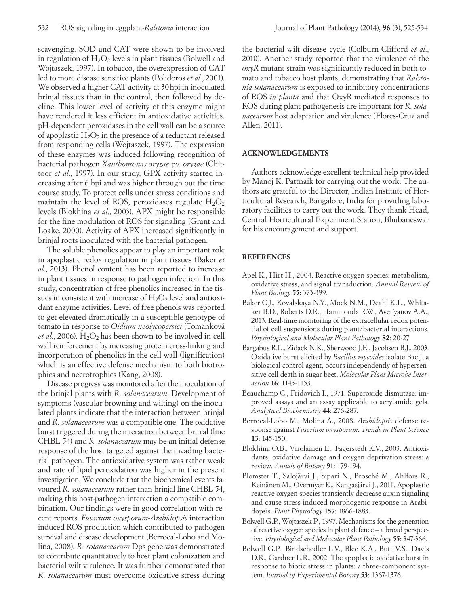scavenging. SOD and CAT were shown to be involved in regulation of  $H_2O_2$  levels in plant tissues (Bolwell and Wojtaszek, 1997). In tobacco, the overexpression of CAT led to more disease sensitive plants (Polidoros *et al*., 2001). We observed a higher CAT activity at 30hpi in inoculated brinjal tissues than in the control, then followed by decline. This lower level of activity of this enzyme might have rendered it less efficient in antioxidative activities. pH-dependent peroxidases in the cell wall can be a source of apoplastic  $H_2O_2$  in the presence of a reductant released from responding cells (Wojtaszek, 1997). The expression of these enzymes was induced following recognition of bacterial pathogen *Xanthomonas oryzae* pv. *oryzae* (Chittoor *et al*., 1997). In our study, GPX activity started increasing after 6 hpi and was higher through out the time course study. To protect cells under stress conditions and maintain the level of ROS, peroxidases regulate  $H_2O_2$ levels (Blokhina *et al*., 2003). APX might be responsible for the fine modulation of ROS for signaling (Grant and Loake, 2000). Activity of APX increased significantly in brinjal roots inoculated with the bacterial pathogen.

The soluble phenolics appear to play an important role in apoplastic redox regulation in plant tissues (Baker *et al*., 2013). Phenol content has been reported to increase in plant tissues in response to pathogen infection. In this study, concentration of free phenolics increased in the tissues in consistent with increase of  $H_2O_2$  level and antioxidant enzyme activities. Level of free phenols was reported to get elevated dramatically in a susceptible genotype of tomato in response to *Oidium neolycopersici* (Tománková *et al.*, 2006).  $H_2O_2$  has been shown to be involved in cell wall reinforcement by increasing protein cross-linking and incorporation of phenolics in the cell wall (lignification) which is an effective defense mechanism to both biotrophics and necrotrophics (Kang, 2008).

Disease progress was monitored after the inoculation of the brinjal plants with *R. solanacearum*. Development of symptoms (vascular browning and wilting) on the inoculated plants indicate that the interaction between brinjal and *R. solanacearum* was a compatible one. The oxidative burst triggered during the interaction between brinjal (line CHBL-54) and *R. solanacearum* may be an initial defense response of the host targeted against the invading bacterial pathogen. The antioxidative system was rather weak and rate of lipid peroxidation was higher in the present investigation. We conclude that the biochemical events favoured *R. solanacearum* rather than brinjal line CHBL-54, making this host-pathogen interaction a compatible combination. Our findings were in good correlation with recent reports. *Fusarium oxysporum*-*Arabidopsis* interaction induced ROS production which contributed to pathogen survival and disease development (Berrocal-Lobo and Molina, 2008). *R. solanacearum* Dps gene was demonstrated to contribute quantitatively to host plant colonization and bacterial wilt virulence. It was further demonstrated that *R. solanacearum* must overcome oxidative stress during

the bacterial wilt disease cycle (Colburn-Clifford *et al*., 2010). Another study reported that the virulence of the *oxyR* mutant strain was significantly reduced in both tomato and tobacco host plants, demonstrating that *Ralstonia solanacearum* is exposed to inhibitory concentrations of ROS *in planta* and that OxyR mediated responses to ROS during plant pathogenesis are important for *R. solanacearum* host adaptation and virulence (Flores-Cruz and Allen, 2011).

## **ACKNOWLEDGEMENTS**

Authors acknowledge excellent technical help provided by Manoj K. Pattnaik for carrying out the work. The authors are grateful to the Director, Indian Institute of Horticultural Research, Bangalore, India for providing laboratory facilities to carry out the work. They thank Head, Central Horticultural Experiment Station, Bhubaneswar for his encouragement and support.

## **REFERENCES**

- Apel K., Hirt H., 2004. Reactive oxygen species: metabolism, oxidative stress, and signal transduction. *Annual Review of Plant Biology* **55:** 373-399.
- Baker C.J., Kovalskaya N.Y., Mock N.M., Deahl K.L., Whitaker B.D., Roberts D.R., Hammonda R.W., Aver'yanov A.A., 2013. Real-time monitoring of the extracellular redox potential of cell suspensions during plant/bacterial interactions. *Physiological and Molecular Plant Pathology* **82**: 20-27.
- Bargabus R.L., Zidack N.K., Sherwood J.E., Jacobsen B.J., 2003. Oxidative burst elicited by *Bacillus mycoides* isolate Bac J, a biological control agent, occurs independently of hypersensitive cell death in sugar beet. *Molecular Plant-Microbe Interaction* **16**: 1145-1153.
- Beauchamp C., Fridovich I., 1971. Superoxide dismutase: improved assays and an assay applicable to acrylamide gels. *Analytical Biochemistry* **44**: 276-287.
- Berrocal-Lobo M., Molina A., 2008. *Arabidopsis* defense response against *Fusarium oxysporum*. *Trends in Plant Science* **13**: 145-150.
- Blokhina O.B., Virolainen E., Fagerstedt K.V., 2003. Antioxidants, oxidative damage and oxygen deprivation stress: a review. *Annals of Botany* **91**: 179-194.
- Blomster T., Salojärvi J., Sipari N., Brosché M., Ahlfors R., Keinänen M., Overmyer K., Kangasjärvi J., 2011. Apoplastic reactive oxygen species transiently decrease auxin signaling and cause stress-induced morphogenic response in Arabidopsis. *Plant Physiology* **157**: 1866-1883.
- Bolwell G.P., Wojtaszek P., 1997. Mechanisms for the generation of reactive oxygen species in plant defence – a broad perspective. *Physiological and Molecular Plant Pathology* **55**: 347-366.
- Bolwell G.P., Bindschedler L.V., Blee K.A., Butt V.S., Davis D.R., Gardner L.R., 2002. The apoplastic oxidative burst in response to biotic stress in plants: a three-component system. *Journal of Experimental Botany* **53**: 1367-1376.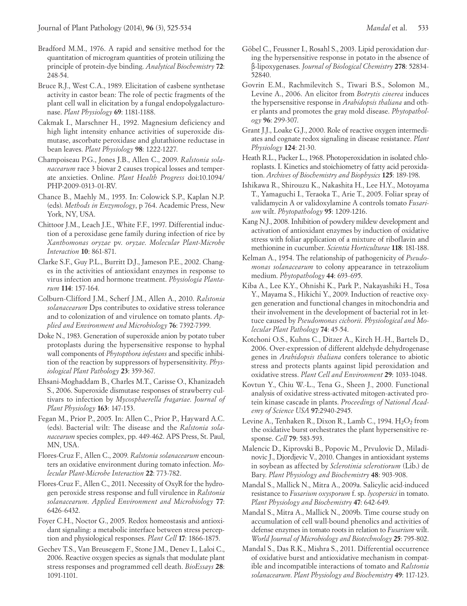- Bradford M.M., 1976. A rapid and sensitive method for the quantitation of microgram quantities of protein utilizing the principle of protein-dye binding. *Analytical Biochemistry* **72**: 248-54.
- Bruce R.J., West C.A., 1989. Elicitation of casbene synthetase activity in castor bean: The role of pectic fragments of the plant cell wall in elicitation by a fungal endopolygalacturonase. *Plant Physiology* **69**: 1181-1188.
- Cakmak I., Marschner H., 1992. Magnesium deficiency and high light intensity enhance activities of superoxide dismutase, ascorbate peroxidase and glutathione reductase in bean leaves. *Plant Physiology* **98**: 1222-1227.
- Champoiseau P.G., Jones J.B., Allen C., 2009. *Ralstonia solanacearum* race 3 biovar 2 causes tropical losses and temperate anxieties. Online. *Plant Health Progress* doi:10.1094/ PHP-2009-0313-01-RV.
- Chance B., Maehly M., 1955. In: Colowick S.P., Kaplan N.P. (eds). *Methods in Enzymology*, p 764. Academic Press, New York, NY, USA.
- Chittoor J.M., Leach J.E., White F.F., 1997. Differential induction of a peroxidase gene family during infection of rice by *Xanthomonas oryzae* pv. *oryzae*. *Molecular Plant-Microbe Interaction* **10**: 861-871.
- Clarke S.F., Guy P.L., Burritt D.J., Jameson P.E., 2002. Changes in the activities of antioxidant enzymes in response to virus infection and hormone treatment. *Physiologia Plantarum* **114**: 157-164.
- Colburn-Clifford J.M., Scherf J.M., Allen A., 2010. *Ralstonia solanacearum* Dps contributes to oxidative stress tolerance and to colonization of and virulence on tomato plants. *Applied and Environment and Microbiology* **76**: 7392-7399.
- Doke N., 1983. Generation of superoxide anion by potato tuber protoplasts during the hypersensitive response to hyphal wall components of *Phytopthora infestans* and specific inhibition of the reaction by suppressors of hypersensitivity. *Physiological Plant Pathology* **23**: 359-367.
- Ehsani-Moghaddam B., Charles M.T., Carisse O., Khanizadeh S., 2006. Superoxide dismutase responses of strawberry cultivars to infection by *Mycosphaerella fragariae*. *Journal of Plant Physiology* **163**: 147-153.
- Fegan M., Prior P., 2005. In: Allen C., Prior P., Hayward A.C. (eds). Bacterial wilt: The disease and the *Ralstonia solanacearum* species complex, pp. 449-462. APS Press, St. Paul, MN, USA.
- Flores-Cruz F., Allen C., 2009. *Ralstonia solanacearum* encounters an oxidative environment during tomato infection. *Molecular Plant-Microbe Interaction* **22**: 773-782.
- Flores-Cruz F., Allen C., 2011. Necessity of OxyR for the hydrogen peroxide stress response and full virulence in *Ralstonia solanacearum*. *Applied Environment and Microbiology* **77**: 6426-6432.
- Foyer C.H., Noctor G., 2005. Redox homeostasis and antioxidant signaling: a metabolic interface between stress perception and physiological responses. *Plant Cell* **17**: 1866-1875.
- Gechev T.S., Van Breusegem F., Stone J.M., Denev I., Laloi C., 2006. Reactive oxygen species as signals that modulate plant stress responses and programmed cell death. *BioEssays* **28**: 1091-1101.
- Göbel C., Feussner I., Rosahl S., 2003. Lipid peroxidation during the hypersensitive response in potato in the absence of β-lipoxygenases. *Journal of Biological Chemistry* **278**: 52834- 52840.
- Govrin E.M., Rachmilevitch S., Tiwari B.S., Solomon M., Levine A., 2006. An elicitor from *Botrytis cinerea* induces the hypersensitive response in *Arabidopsis thaliana* and other plants and promotes the gray mold disease. *Phytopathology* **96**: 299-307.
- Grant J.J., Loake G.J., 2000. Role of reactive oxygen intermediates and cognate redox signaling in disease resistance. *Plant Physiology* **124**: 21-30.
- Heath R.L., Packer L., 1968. Photoperoxidation in isolated chloroplasts. I. Kinetics and stoichiometry of fatty acid peroxidation. *Archives of Biochemistry and Biophysics* **125**: 189-198.
- Ishikawa R., Shirouzu K., Nakashita H., Lee H.Y., Motoyama T., Yamaguchi I., Teraoka T., Arie T., 2005. Foliar spray of validamycin A or validoxylamine A controls tomato *Fusarium* wilt. *Phytopathology* **95**: 1209-1216.
- Kang N.J., 2008. Inhibition of powdery mildew development and activation of antioxidant enzymes by induction of oxidative stress with foliar application of a mixture of riboflavin and methionine in cucumber. *Scientia Horticulturae* **118**: 181-188.
- Kelman A., 1954. The relationship of pathogenicity of *Pseudomonas solanacearum* to colony appearance in tetrazolium medium. *Phytopathology* **44**: 693-695.
- Kiba A., Lee K.Y., Ohnishi K., Park P., Nakayashiki H., Tosa Y., Mayama S., Hikichi Y., 2009. Induction of reactive oxygen generation and functional changes in mitochondria and their involvement in the development of bacterial rot in lettuce caused by *Pseudomonas cichorii*. *Physiological and Molecular Plant Pathology* **74**: 45-54.
- Kotchoni O.S., Kuhns C., Ditzer A., Kirch H.-H., Bartels D., 2006. Over-expression of different aldehyde dehydrogenase genes in *Arabidopsis thaliana* confers tolerance to abiotic stress and protects plants against lipid peroxidation and oxidative stress. *Plant Cell and Environment* **29**: 1033-1048.
- Kovtun Y., Chiu W.-L., Tena G., Sheen J., 2000. Functional analysis of oxidative stress-activated mitogen-activated protein kinase cascade in plants. *Proceedings of National Academy of Science USA* **97**:2940-2945.
- Levine A., Tenhaken R., Dixon R., Lamb C., 1994. H<sub>2</sub>O<sub>2</sub> from the oxidative burst orchestrates the plant hypersensitive response. *Cell* **79**: 583-593.
- Malencic D., Kiprovski B., Popovic M., Prvulovic D., Miladinovic J., Djordjevic V., 2010. Changes in antioxidant systems in soybean as affected by *Sclerotinia sclerotiorum* (Lib.) de Bary. *Plant Physiology and Biochemistry* **48**: 903-908.
- Mandal S., Mallick N., Mitra A., 2009a. Salicylic acid-induced resistance to *Fusarium oxysporum* f. sp. *lycopersici* in tomato. *Plant Physiology and Biochemistry* **47**: 642-649.
- Mandal S., Mitra A., Mallick N., 2009b. Time course study on accumulation of cell wall-bound phenolics and activities of defense enzymes in tomato roots in relation to *Fusarium* wilt. *World Journal of Microbiology and Biotechnology* **25**: 795-802.
- Mandal S., Das R.K., Mishra S., 2011. Differential occurrence of oxidative burst and antioxidative mechanism in compatible and incompatible interactions of tomato and *Ralstonia solanacearum*. *Plant Physiology and Biochemistry* **49**: 117-123.